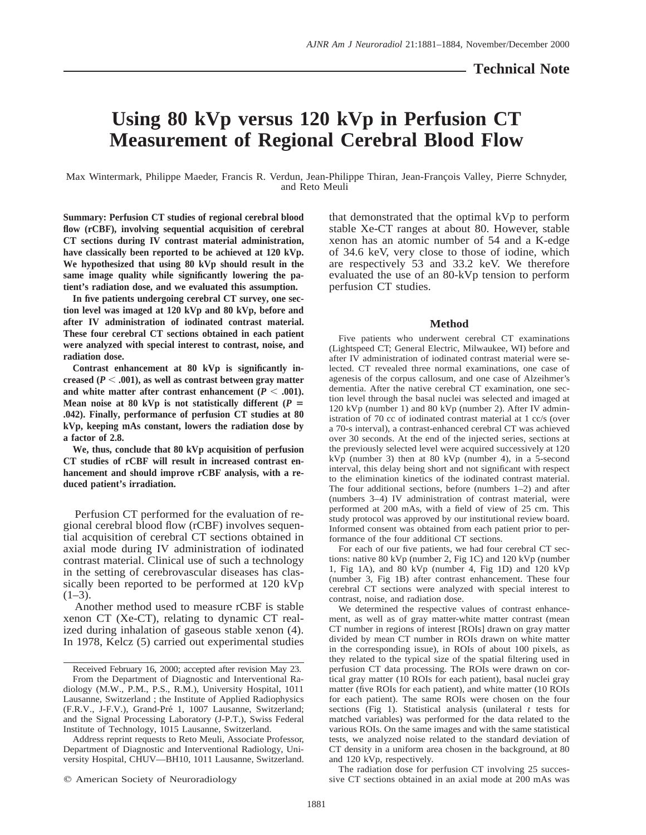# **Using 80 kVp versus 120 kVp in Perfusion CT Measurement of Regional Cerebral Blood Flow**

Max Wintermark, Philippe Maeder, Francis R. Verdun, Jean-Philippe Thiran, Jean-François Valley, Pierre Schnyder, and Reto Meuli

**Summary: Perfusion CT studies of regional cerebral blood flow (rCBF), involving sequential acquisition of cerebral CT sections during IV contrast material administration, have classically been reported to be achieved at 120 kVp. We hypothesized that using 80 kVp should result in the same image quality while significantly lowering the patient's radiation dose, and we evaluated this assumption.**

**In five patients undergoing cerebral CT survey, one section level was imaged at 120 kVp and 80 kVp, before and after IV administration of iodinated contrast material. These four cerebral CT sections obtained in each patient were analyzed with special interest to contrast, noise, and radiation dose.**

**Contrast enhancement at 80 kVp is significantly in**creased ( $P < .001$ ), as well as contrast between gray matter and white matter after contrast enhancement  $(P < .001)$ . **Mean noise at 80 kVp is not statistically different (** $P =$ **.042). Finally, performance of perfusion CT studies at 80 kVp, keeping mAs constant, lowers the radiation dose by a factor of 2.8.**

**We, thus, conclude that 80 kVp acquisition of perfusion CT studies of rCBF will result in increased contrast enhancement and should improve rCBF analysis, with a reduced patient's irradiation.**

Perfusion CT performed for the evaluation of regional cerebral blood flow (rCBF) involves sequential acquisition of cerebral CT sections obtained in axial mode during IV administration of iodinated contrast material. Clinical use of such a technology in the setting of cerebrovascular diseases has classically been reported to be performed at 120 kVp  $(1-3)$ .

Another method used to measure rCBF is stable xenon CT (Xe-CT), relating to dynamic CT realized during inhalation of gaseous stable xenon (4). In 1978, Kelcz (5) carried out experimental studies

 $Q$  American Society of Neuroradiology

that demonstrated that the optimal kVp to perform stable Xe-CT ranges at about 80. However, stable xenon has an atomic number of 54 and a K-edge of 34.6 keV, very close to those of iodine, which are respectively 53 and 33.2 keV. We therefore evaluated the use of an 80-kVp tension to perform perfusion CT studies.

# **Method**

Five patients who underwent cerebral CT examinations (Lightspeed CT; General Electric, Milwaukee, WI) before and after IV administration of iodinated contrast material were selected. CT revealed three normal examinations, one case of agenesis of the corpus callosum, and one case of Alzeihmer's dementia. After the native cerebral CT examination, one section level through the basal nuclei was selected and imaged at 120 kVp (number 1) and 80 kVp (number 2). After IV administration of 70 cc of iodinated contrast material at 1 cc/s (over a 70-s interval), a contrast-enhanced cerebral CT was achieved over 30 seconds. At the end of the injected series, sections at the previously selected level were acquired successively at 120 kVp (number 3) then at 80 kVp (number 4), in a 5-second interval, this delay being short and not significant with respect to the elimination kinetics of the iodinated contrast material. The four additional sections, before (numbers 1–2) and after (numbers 3–4) IV administration of contrast material, were performed at 200 mAs, with a field of view of 25 cm. This study protocol was approved by our institutional review board. Informed consent was obtained from each patient prior to performance of the four additional CT sections.

For each of our five patients, we had four cerebral CT sections: native 80 kVp (number 2, Fig 1C) and 120 kVp (number 1, Fig 1A), and 80 kVp (number 4, Fig 1D) and 120 kVp (number 3, Fig 1B) after contrast enhancement. These four cerebral CT sections were analyzed with special interest to contrast, noise, and radiation dose.

We determined the respective values of contrast enhancement, as well as of gray matter-white matter contrast (mean CT number in regions of interest [ROIs] drawn on gray matter divided by mean CT number in ROIs drawn on white matter in the corresponding issue), in ROIs of about 100 pixels, as they related to the typical size of the spatial filtering used in perfusion CT data processing. The ROIs were drawn on cortical gray matter (10 ROIs for each patient), basal nuclei gray matter (five ROIs for each patient), and white matter (10 ROIs for each patient). The same ROIs were chosen on the four sections (Fig 1). Statistical analysis (unilateral *t* tests for matched variables) was performed for the data related to the various ROIs. On the same images and with the same statistical tests, we analyzed noise related to the standard deviation of CT density in a uniform area chosen in the background, at 80 and 120 kVp, respectively.

The radiation dose for perfusion CT involving 25 successive CT sections obtained in an axial mode at 200 mAs was

Received February 16, 2000; accepted after revision May 23. From the Department of Diagnostic and Interventional Radiology (M.W., P.M., P.S., R.M.), University Hospital, 1011 Lausanne, Switzerland ; the Institute of Applied Radiophysics (F.R.V., J-F.V.), Grand-Pré 1, 1007 Lausanne, Switzerland; and the Signal Processing Laboratory (J-P.T.), Swiss Federal Institute of Technology, 1015 Lausanne, Switzerland.

Address reprint requests to Reto Meuli, Associate Professor, Department of Diagnostic and Interventional Radiology, University Hospital, CHUV—BH10, 1011 Lausanne, Switzerland.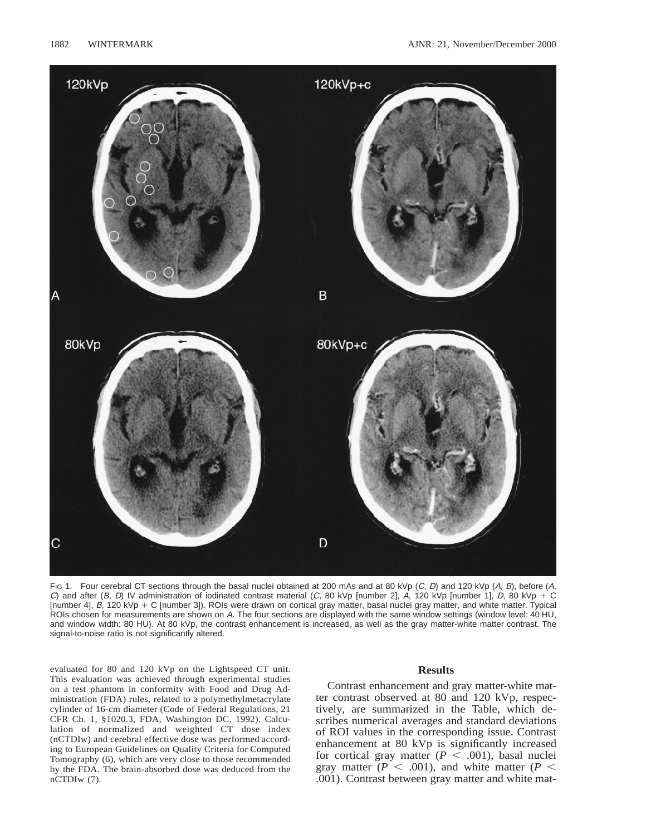

FIG 1. Four cerebral CT sections through the basal nuclei obtained at 200 mAs and at 80 kVp (C, D) and 120 kVp (A, B), before (A, C) and after (B, D) IV administration of iodinated contrast material (C, 80 kVp [number 2], A, 120 kVp [number 1], D, 80 kVp + C [number 4],  $B$ , 120 kVp + C [number 3]). ROIs were drawn on cortical gray matter, basal nuclei gray matter, and white matter. Typical ROIs chosen for measurements are shown on A. The four sections are displayed with the same window settings (window level: 40 HU, and window width: 80 HU). At 80 kVp, the contrast enhancement is increased, as well as the gray matter-white matter contrast. The signal-to-noise ratio is not significantly altered.

evaluated for 80 and 120 kVp on the Lightspeed CT unit. This evaluation was achieved through experimental studies on a test phantom in conformity with Food and Drug Administration (FDA) rules, related to a polymethylmetacrylate cylinder of 16-cm diameter (Code of Federal Regulations, 21 CFR Ch. 1, §1020.3, FDA, Washington DC, 1992). Calculation of normalized and weighted CT dose index (nCTDIw) and cerebral effective dose was performed according to European Guidelines on Quality Criteria for Computed Tomography (6), which are very close to those recommended by the FDA. The brain-absorbed dose was deduced from the nCTDIw (7).

## **Results**

Contrast enhancement and gray matter-white matter contrast observed at 80 and 120 kVp, respectively, are summarized in the Table, which describes numerical averages and standard deviations of ROI values in the corresponding issue. Contrast enhancement at 80 kVp is significantly increased for cortical gray matter  $(P \n< .001)$ , basal nuclei gray matter ( $P < .001$ ), and white matter ( $P <$ .001). Contrast between gray matter and white mat-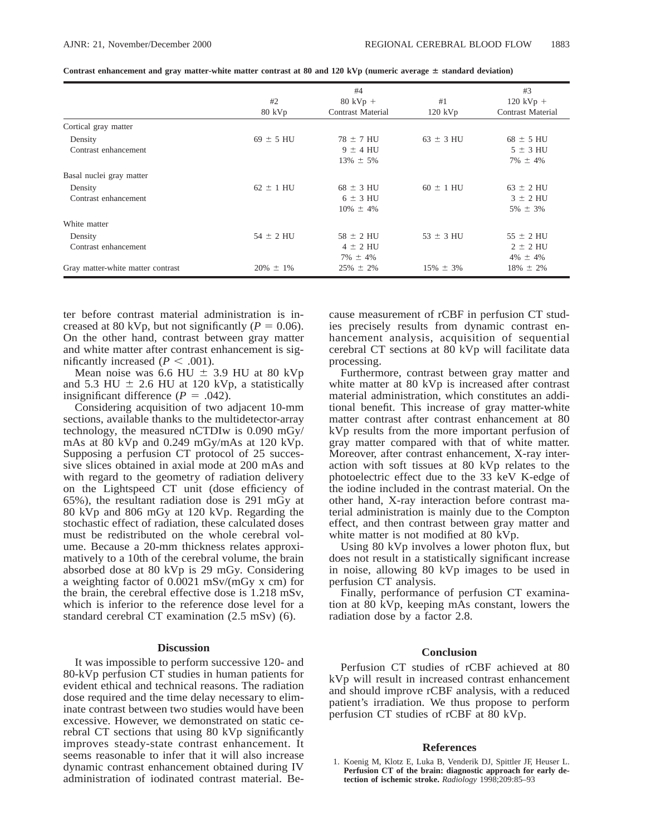|                                   | #4               |                          |                | #3                       |
|-----------------------------------|------------------|--------------------------|----------------|--------------------------|
|                                   | #2               | $80$ kVp +               | #1             | $120$ kVp +              |
|                                   | $80 \text{ kVp}$ | <b>Contrast Material</b> | $120$ kVp      | <b>Contrast Material</b> |
| Cortical gray matter              |                  |                          |                |                          |
| Density                           | $69 \pm 5$ HU    | $78 \pm 7$ HU            | $63 \pm 3$ HU  | $68 \pm 5$ HU            |
| Contrast enhancement              |                  | $9 \pm 4$ HU             |                | $5 \pm 3$ HU             |
|                                   |                  | $13\% \pm 5\%$           |                | $7\% \pm 4\%$            |
| Basal nuclei gray matter          |                  |                          |                |                          |
| Density                           | $62 \pm 1$ HU    | $68 \pm 3$ HU            | $60 \pm 1$ HU  | $63 \pm 2$ HU            |
| Contrast enhancement              |                  | $6 \pm 3$ HU             |                | $3 \pm 2$ HU             |
|                                   |                  | $10\% \pm 4\%$           |                | $5\% \pm 3\%$            |
| White matter                      |                  |                          |                |                          |
| Density                           | $54 \pm 2$ HU    | $58 \pm 2$ HU            | $53 \pm 3$ HU  | $55 \pm 2$ HU            |
| Contrast enhancement              |                  | $4 \pm 2$ HU             |                | $2 \pm 2$ HU             |
|                                   |                  | $7\% \pm 4\%$            |                | $4\% \pm 4\%$            |
| Gray matter-white matter contrast | $20\% \pm 1\%$   | $25\% \pm 2\%$           | $15\% \pm 3\%$ | $18\% \pm 2\%$           |

| Contrast enhancement and gray matter-white matter contrast at 80 and 120 kVp (numeric average $\pm$ standard deviation) |  |  |  |  |  |
|-------------------------------------------------------------------------------------------------------------------------|--|--|--|--|--|
|-------------------------------------------------------------------------------------------------------------------------|--|--|--|--|--|

ter before contrast material administration is increased at 80 kVp, but not significantly ( $P = 0.06$ ). On the other hand, contrast between gray matter and white matter after contrast enhancement is significantly increased  $(P < .001)$ .

Mean noise was 6.6 HU  $\pm$  3.9 HU at 80 kVp and 5.3 HU  $\pm$  2.6 HU at 120 kVp, a statistically insignificant difference  $(P = .042)$ .

Considering acquisition of two adjacent 10-mm sections, available thanks to the multidetector-array technology, the measured nCTDIw is 0.090 mGy/ mAs at 80 kVp and 0.249 mGy/mAs at 120 kVp. Supposing a perfusion CT protocol of 25 successive slices obtained in axial mode at 200 mAs and with regard to the geometry of radiation delivery on the Lightspeed CT unit (dose efficiency of 65%), the resultant radiation dose is 291 mGy at 80 kVp and 806 mGy at 120 kVp. Regarding the stochastic effect of radiation, these calculated doses must be redistributed on the whole cerebral volume. Because a 20-mm thickness relates approximatively to a 10th of the cerebral volume, the brain absorbed dose at 80 kVp is 29 mGy. Considering a weighting factor of 0.0021 mSv/(mGy x cm) for the brain, the cerebral effective dose is 1.218 mSv, which is inferior to the reference dose level for a standard cerebral CT examination (2.5 mSv) (6).

### **Discussion**

It was impossible to perform successive 120- and 80-kVp perfusion CT studies in human patients for evident ethical and technical reasons. The radiation dose required and the time delay necessary to eliminate contrast between two studies would have been excessive. However, we demonstrated on static cerebral CT sections that using 80 kVp significantly improves steady-state contrast enhancement. It seems reasonable to infer that it will also increase dynamic contrast enhancement obtained during IV administration of iodinated contrast material. Be-

cause measurement of rCBF in perfusion CT studies precisely results from dynamic contrast enhancement analysis, acquisition of sequential cerebral CT sections at 80 kVp will facilitate data processing.

Furthermore, contrast between gray matter and white matter at 80 kVp is increased after contrast material administration, which constitutes an additional benefit. This increase of gray matter-white matter contrast after contrast enhancement at 80 kVp results from the more important perfusion of gray matter compared with that of white matter. Moreover, after contrast enhancement, X-ray interaction with soft tissues at 80 kVp relates to the photoelectric effect due to the 33 keV K-edge of the iodine included in the contrast material. On the other hand, X-ray interaction before contrast material administration is mainly due to the Compton effect, and then contrast between gray matter and white matter is not modified at 80 kVp.

Using 80 kVp involves a lower photon flux, but does not result in a statistically significant increase in noise, allowing 80 kVp images to be used in perfusion CT analysis.

Finally, performance of perfusion CT examination at 80 kVp, keeping mAs constant, lowers the radiation dose by a factor 2.8.

#### **Conclusion**

Perfusion CT studies of rCBF achieved at 80 kVp will result in increased contrast enhancement and should improve rCBF analysis, with a reduced patient's irradiation. We thus propose to perform perfusion CT studies of rCBF at 80 kVp.

#### **References**

1. Koenig M, Klotz E, Luka B, Venderik DJ, Spittler JF, Heuser L. **Perfusion CT of the brain: diagnostic approach for early detection of ischemic stroke.** *Radiology* 1998;209:85–93